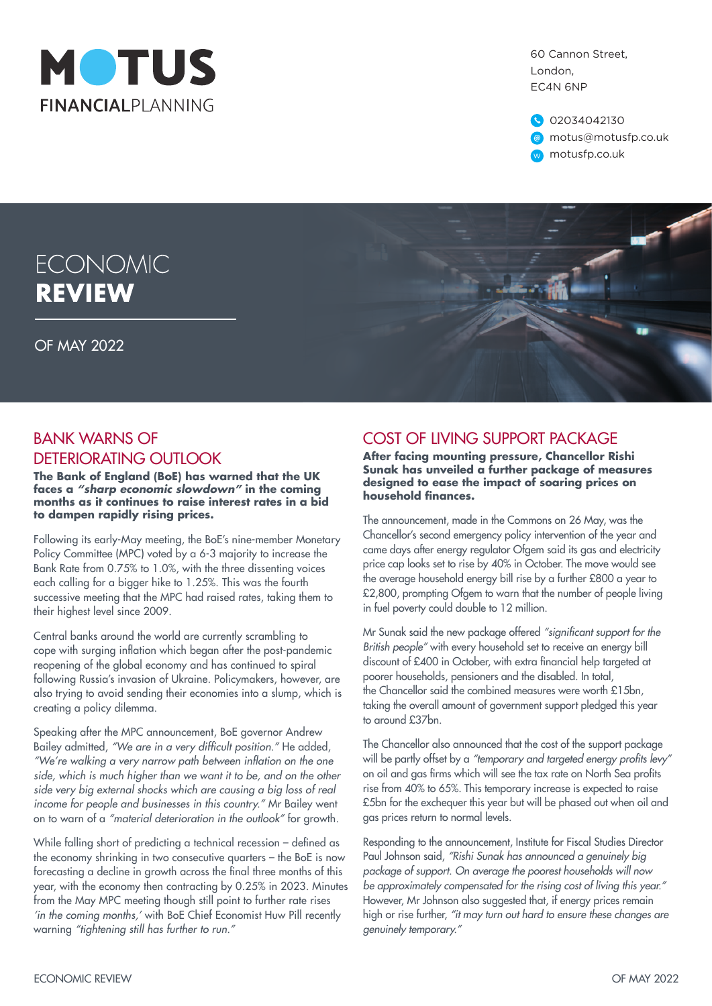

60 Cannon Street, London, EC4N 6NP

02034042130 @ motus@motusfp.co.uk w motusfp.co.uk

# **ECONOMIC REVIEW**

OF MAY 2022

### BANK WARNS OF DETERIORATING OUTLOOK

**The Bank of England (BoE) has warned that the UK faces a** *"sharp economic slowdown"* **in the coming months as it continues to raise interest rates in a bid to dampen rapidly rising prices.**

Following its early-May meeting, the BoE's nine-member Monetary Policy Committee (MPC) voted by a 6-3 majority to increase the Bank Rate from 0.75% to 1.0%, with the three dissenting voices each calling for a bigger hike to 1.25%. This was the fourth successive meeting that the MPC had raised rates, taking them to their highest level since 2009.

Central banks around the world are currently scrambling to cope with surging inflation which began after the post-pandemic reopening of the global economy and has continued to spiral following Russia's invasion of Ukraine. Policymakers, however, are also trying to avoid sending their economies into a slump, which is creating a policy dilemma.

Speaking after the MPC announcement, BoE governor Andrew Bailey admitted, "We are in a very difficult position." He added, "We're walking a very narrow path between inflation on the one side, which is much higher than we want it to be, and on the other side very big external shocks which are causing a big loss of real income for people and businesses in this country." Mr Bailey went on to warn of a "material deterioration in the outlook" for arowth.

While falling short of predicting a technical recession - defined as the economy shrinking in two consecutive quarters – the BoE is now forecasting a decline in growth across the final three months of this year, with the economy then contracting by 0.25% in 2023. Minutes from the May MPC meeting though still point to further rate rises 'in the coming months,' with BoE Chief Economist Huw Pill recently warning "tightening still has further to run."

## COST OF LIVING SUPPORT PACKAGE

**After facing mounting pressure, Chancellor Rishi Sunak has unveiled a further package of measures designed to ease the impact of soaring prices on household finances.**

The announcement, made in the Commons on 26 May, was the Chancellor's second emergency policy intervention of the year and came days after energy regulator Ofgem said its gas and electricity price cap looks set to rise by 40% in October. The move would see the average household energy bill rise by a further £800 a year to £2,800, prompting Ofgem to warn that the number of people living in fuel poverty could double to 12 million.

Mr Sunak said the new package offered "significant support for the British people" with every household set to receive an energy bill discount of £400 in October, with extra financial help targeted at poorer households, pensioners and the disabled. In total, the Chancellor said the combined measures were worth £15bn, taking the overall amount of government support pledged this year to around £37bn.

The Chancellor also announced that the cost of the support package will be partly offset by a "temporary and targeted energy profits levy" on oil and gas firms which will see the tax rate on North Sea profits rise from 40% to 65%. This temporary increase is expected to raise £5bn for the exchequer this year but will be phased out when oil and gas prices return to normal levels.

Responding to the announcement, Institute for Fiscal Studies Director Paul Johnson said, "Rishi Sunak has announced a genuinely big package of support. On average the poorest households will now be approximately compensated for the rising cost of living this year." However, Mr Johnson also suggested that, if energy prices remain high or rise further, "it may turn out hard to ensure these changes are genuinely temporary."